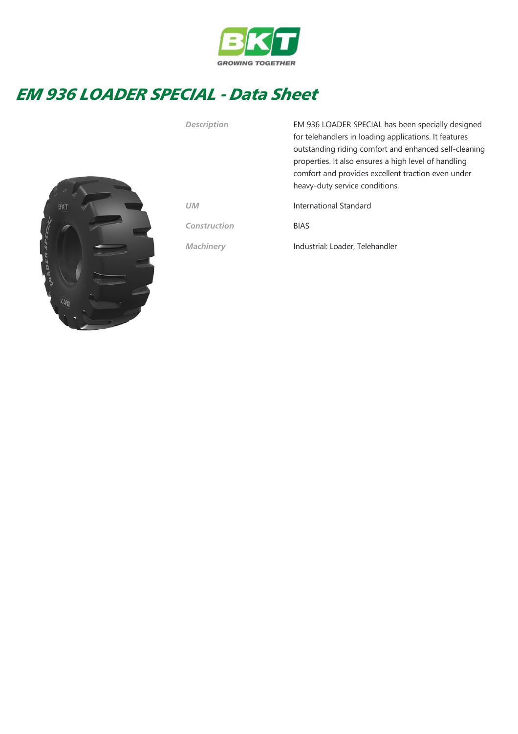

## EM 936 LOADER SPECIAL - Data Sheet



Description EM 936 LOADER SPECIAL has been specially designed for telehandlers in loading applications. It features outstanding riding comfort and enhanced self‐cleaning properties. It also ensures a high level of handling comfort and provides excellent traction even under heavy‐duty service conditions.

UM International Standard

Construction BIAS

Machinery Industrial: Loader, Telehandler